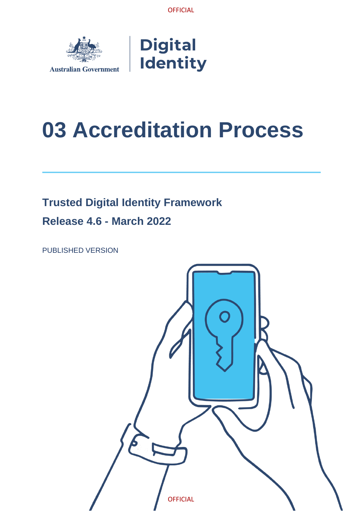

# **Digital Identity**

# <span id="page-0-0"></span>**03 Accreditation Process**

# **Trusted Digital Identity Framework**

**Release 4.6 - March 2022**

<span id="page-0-1"></span>PUBLISHED VERSION

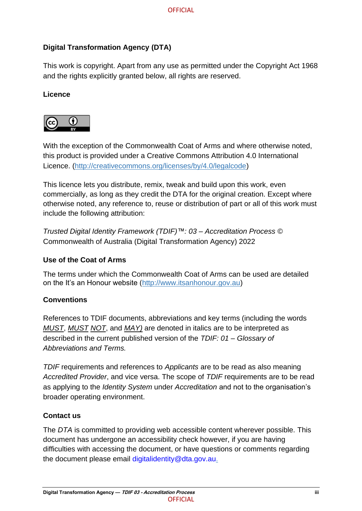### **Digital Transformation Agency (DTA)**

This work is copyright. Apart from any use as permitted under the Copyright Act 1968 and the rights explicitly granted below, all rights are reserved.

#### **Licence**



With the exception of the Commonwealth Coat of Arms and where otherwise noted, this product is provided under a Creative Commons Attribution 4.0 International Licence. [\(http://creativecommons.org/licenses/by/4.0/legalcode\)](http://creativecommons.org/licenses/by/4.0/legalcode)

This licence lets you distribute, remix, tweak and build upon this work, even commercially, as long as they credit the DTA for the original creation. Except where otherwise noted, any reference to, reuse or distribution of part or all of this work must include the following attribution:

*Trusted Digital Identity Framework (TDIF)™: 03 – Accreditation Process* © Commonwealth of Australia (Digital Transformation Agency) 2022

#### **Use of the Coat of Arms**

The terms under which the Commonwealth Coat of Arms can be used are detailed on the It's an Honour website [\(http://www.itsanhonour.gov.au\)](http://www.itsanhonour.gov.au/)

#### **Conventions**

References to TDIF documents, abbreviations and key terms (including the words *MUST*, *MUST NOT*, and *MAY)* are denoted in italics are to be interpreted as described in the current published version of the *TDIF: 01 – Glossary of Abbreviations and Terms.*

*TDIF* requirements and references to *Applicants* are to be read as also meaning *Accredited Provider*, and vice versa. The scope of *TDIF* requirements are to be read as applying to the *Identity System* under *Accreditation* and not to the organisation's broader operating environment.

#### **Contact us**

The *DTA* is committed to providing web accessible content wherever possible. This document has undergone an accessibility check however, if you are having difficulties with accessing the document, or have questions or comments regarding the document please email [digitalidentity@dta.gov.au](mailto:digitalidentity@dta.gov.au).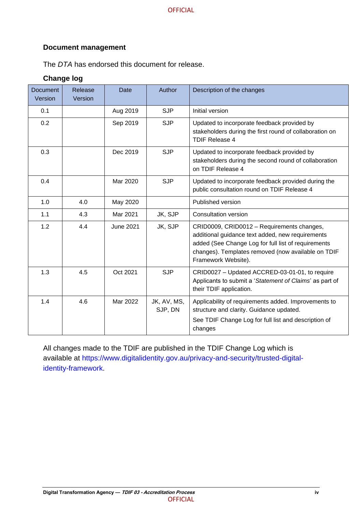#### **Document management**

The *DTA* has endorsed this document for release.

#### **Change log**

| <b>Document</b><br>Version | Release<br>Version | Date             | Author                 | Description of the changes                                                                                                                                                                                                         |
|----------------------------|--------------------|------------------|------------------------|------------------------------------------------------------------------------------------------------------------------------------------------------------------------------------------------------------------------------------|
| 0.1                        |                    | Aug 2019         | <b>SJP</b>             | Initial version                                                                                                                                                                                                                    |
| 0.2                        |                    | Sep 2019         | <b>SJP</b>             | Updated to incorporate feedback provided by<br>stakeholders during the first round of collaboration on<br>TDIF Release 4                                                                                                           |
| 0.3                        |                    | Dec 2019         | <b>SJP</b>             | Updated to incorporate feedback provided by<br>stakeholders during the second round of collaboration<br>on TDIF Release 4                                                                                                          |
| 0.4                        |                    | Mar 2020         | <b>SJP</b>             | Updated to incorporate feedback provided during the<br>public consultation round on TDIF Release 4                                                                                                                                 |
| 1.0                        | 4.0                | May 2020         |                        | Published version                                                                                                                                                                                                                  |
| 1.1                        | 4.3                | Mar 2021         | JK, SJP                | <b>Consultation version</b>                                                                                                                                                                                                        |
| 1.2                        | 4.4                | <b>June 2021</b> | JK, SJP                | CRID0009, CRID0012 - Requirements changes,<br>additional guidance text added, new requirements<br>added (See Change Log for full list of requirements<br>changes). Templates removed (now available on TDIF<br>Framework Website). |
| 1.3                        | 4.5                | Oct 2021         | <b>SJP</b>             | CRID0027 - Updated ACCRED-03-01-01, to require<br>Applicants to submit a 'Statement of Claims' as part of<br>their TDIF application.                                                                                               |
| 1.4                        | 4.6                | Mar 2022         | JK, AV, MS,<br>SJP, DN | Applicability of requirements added. Improvements to<br>structure and clarity. Guidance updated.<br>See TDIF Change Log for full list and description of<br>changes                                                                |

All changes made to the TDIF are published in the TDIF Change Log which is available at [https://www.digitalidentity.gov.au/privacy-and-security/trusted-digital](https://www.digitalidentity.gov.au/privacy-and-security/trusted-digital-identity-framework)[identity-framework.](https://www.digitalidentity.gov.au/privacy-and-security/trusted-digital-identity-framework)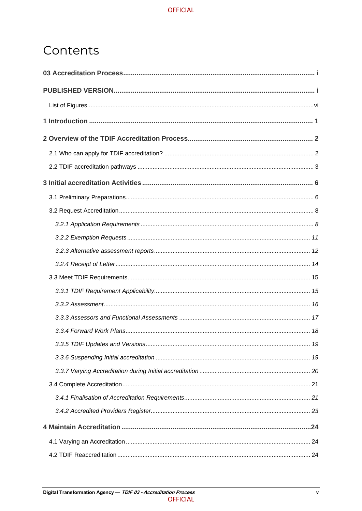# Contents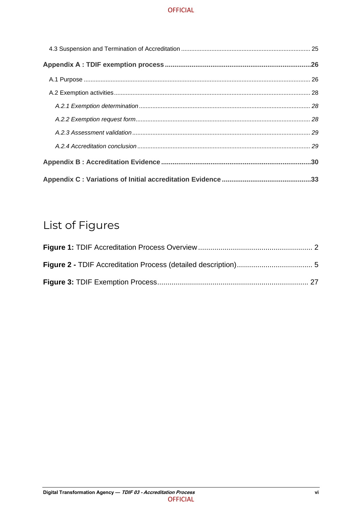# <span id="page-4-0"></span>List of Figures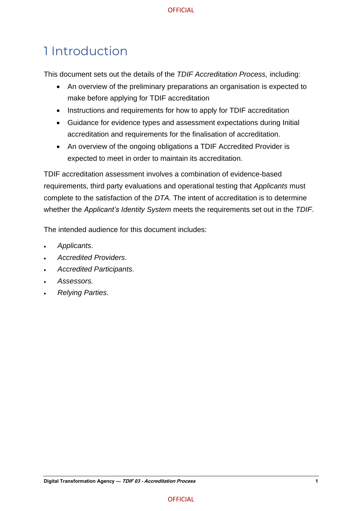# <span id="page-5-0"></span>1 Introduction

This document sets out the details of the *TDIF Accreditation Process,* including:

- An overview of the preliminary preparations an organisation is expected to make before applying for TDIF accreditation
- Instructions and requirements for how to apply for TDIF accreditation
- Guidance for evidence types and assessment expectations during Initial accreditation and requirements for the finalisation of accreditation.
- An overview of the ongoing obligations a TDIF Accredited Provider is expected to meet in order to maintain its accreditation*.*

TDIF accreditation assessment involves a combination of evidence-based requirements, third party evaluations and operational testing that *Applicants* must complete to the satisfaction of the *DTA.* The intent of accreditation is to determine whether the *Applicant's Identity System* meets the requirements set out in the *TDIF*.

The intended audience for this document includes:

- *Applicants*.
- *Accredited Providers*.
- *Accredited Participants*.
- *Assessors.*
- *Relying Parties*.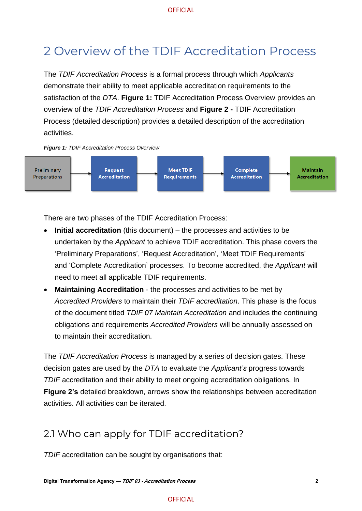# <span id="page-6-0"></span>2 Overview of the TDIF Accreditation Process

The *TDIF Accreditation Process* is a formal process through which *Applicants* demonstrate their ability to meet applicable accreditation requirements to the satisfaction of the *DTA*. **Figure 1:** [TDIF Accreditation Process Overview](#page-6-3) provides an overview of the *TDIF Accreditation Process* and **Figure 2 -** [TDIF Accreditation](#page-9-1)  Process [\(detailed description\)](#page-9-1) provides a detailed description of the accreditation activities.

<span id="page-6-3"></span><span id="page-6-2"></span>



There are two phases of the TDIF Accreditation Process:

- **Initial accreditation** (this document) the processes and activities to be undertaken by the *Applicant* to achieve TDIF accreditation. This phase covers the 'Preliminary Preparations', 'Request Accreditation', 'Meet TDIF Requirements' and 'Complete Accreditation' processes. To become accredited, the *Applicant* will need to meet all applicable TDIF requirements.
- **Maintaining Accreditation** the processes and activities to be met by *Accredited Providers* to maintain their *TDIF accreditation*. This phase is the focus of the document titled *TDIF 07 Maintain Accreditation* and includes the continuing obligations and requirements *Accredited Providers* will be annually assessed on to maintain their accreditation.

The *TDIF Accreditation Process* is managed by a series of decision gates. These decision gates are used by the *DTA* to evaluate the *Applicant's* progress towards *TDIF* accreditation and their ability to meet ongoing accreditation obligations. In **Figure 2's** detailed breakdown, arrows show the relationships between accreditation activities. All activities can be iterated.

# <span id="page-6-1"></span>2.1 Who can apply for TDIF accreditation?

*TDIF* accreditation can be sought by organisations that: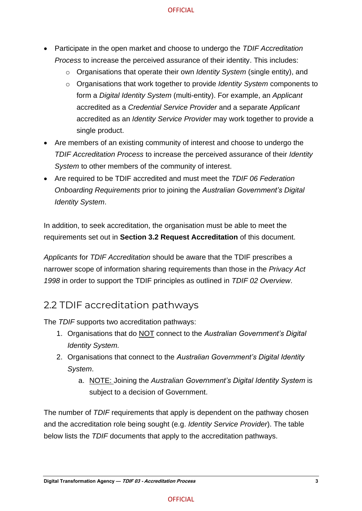- Participate in the open market and choose to undergo the *TDIF Accreditation Process* to increase the perceived assurance of their identity. This includes:
	- o Organisations that operate their own *Identity System* (single entity), and
	- o Organisations that work together to provide *Identity System* components to form a *Digital Identity System* (multi-entity). For example, an *Applicant* accredited as a *Credential Service Provider* and a separate *Applicant* accredited as an *Identity Service Provider* may work together to provide a single product.
- Are members of an existing community of interest and choose to undergo the *TDIF Accreditation Process* to increase the perceived assurance of their *Identity System* to other members of the community of interest.
- Are required to be TDIF accredited and must meet the *TDIF 06 Federation Onboarding Requirements* prior to joining the *Australian Government's Digital Identity System*.

In addition, to seek accreditation, the organisation must be able to meet the requirements set out in **Section 3.2 Request Accreditation** of this document.

*Applicants* for *TDIF Accreditation* should be aware that the TDIF prescribes a narrower scope of information sharing requirements than those in the *Privacy Act 1998* in order to support the TDIF principles as outlined in *TDIF 02 Overview*.

# <span id="page-7-0"></span>2.2 TDIF accreditation pathways

The *TDIF* supports two accreditation pathways:

- 1. Organisations that do NOT connect to the *Australian Government's Digital Identity System.*
- 2. Organisations that connect to the *Australian Government's Digital Identity System*.
	- a. NOTE: Joining the *Australian Government's Digital Identity System* is subject to a decision of Government.

The number of *TDIF* requirements that apply is dependent on the pathway chosen and the accreditation role being sought (e.g. *Identity Service Provider*). The table below lists the *TDIF* documents that apply to the accreditation pathways.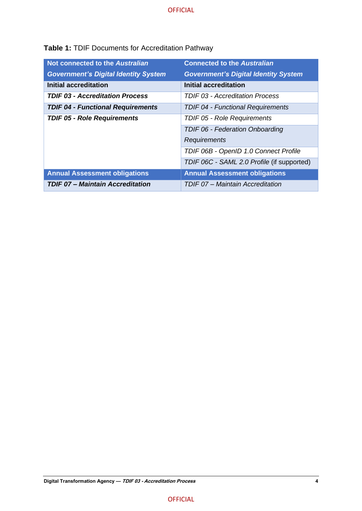| Not connected to the Australian             | <b>Connected to the Australian</b>   |
|---------------------------------------------|--------------------------------------|
| <b>Government's Digital Identity System</b> | <b>Government's Digital Identity</b> |
| Initial accreditation                       | <b>Initial accreditation</b>         |
|                                             | $\cdots$                             |

**Table 1:** TDIF Documents for Accreditation Pathway

| <b>Government's Digital Identity System</b> | <b>Government's Digital Identity System</b> |
|---------------------------------------------|---------------------------------------------|
| <b>Initial accreditation</b>                | <b>Initial accreditation</b>                |
| <b>TDIF 03 - Accreditation Process</b>      | TDIF 03 - Accreditation Process             |
| <b>TDIF 04 - Functional Requirements</b>    | <b>TDIF 04 - Functional Requirements</b>    |
| <b>TDIF 05 - Role Requirements</b>          | TDIF 05 - Role Requirements                 |
|                                             | <b>TDIF 06 - Federation Onboarding</b>      |
|                                             | Requirements                                |
|                                             | TDIF 06B - OpenID 1.0 Connect Profile       |
|                                             | TDIF 06C - SAML 2.0 Profile (if supported)  |
| <b>Annual Assessment obligations</b>        | <b>Annual Assessment obligations</b>        |
| <b>TDIF 07 - Maintain Accreditation</b>     | TDIF 07 - Maintain Accreditation            |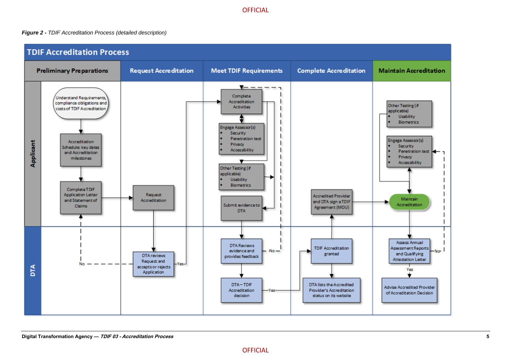#### *Figure 2 - TDIF Accreditation Process (detailed description)*

<span id="page-9-1"></span><span id="page-9-0"></span>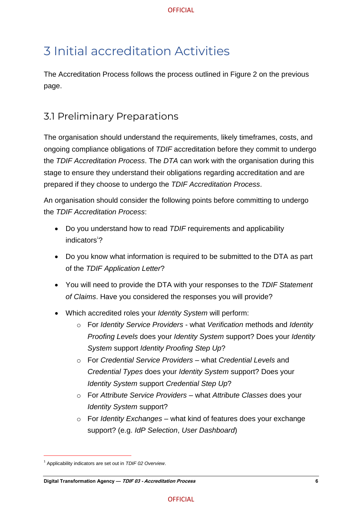# <span id="page-10-0"></span>3 Initial accreditation Activities

The Accreditation Process follows the process outlined in Figure 2 on the previous page.

# <span id="page-10-1"></span>3.1 Preliminary Preparations

The organisation should understand the requirements, likely timeframes, costs, and ongoing compliance obligations of *TDIF* accreditation before they commit to undergo the *TDIF Accreditation Process*. The *DTA* can work with the organisation during this stage to ensure they understand their obligations regarding accreditation and are prepared if they choose to undergo the *TDIF Accreditation Process*.

An organisation should consider the following points before committing to undergo the *TDIF Accreditation Process*:

- Do you understand how to read *TDIF* requirements and applicability indicators<sup>1</sup>?
- Do you know what information is required to be submitted to the DTA as part of the *TDIF Application Letter*?
- You will need to provide the DTA with your responses to the *TDIF Statement of Claims*. Have you considered the responses you will provide?
- Which accredited roles your *Identity System* will perform:
	- o For *Identity Service Providers* what *Verification* methods and *Identity Proofing Levels* does your *Identity System* support? Does your *Identity System* support *Identity Proofing Step Up*?
	- o For *Credential Service Providers* what *Credential Levels* and *Credential Types* does your *Identity System* support? Does your *Identity System* support *Credential Step Up*?
	- o For *Attribute Service Providers* what *Attribute Classes* does your *Identity System* support?
	- o For *Identity Exchanges* what kind of features does your exchange support? (e.g. *IdP Selection*, *User Dashboard*)

<sup>1</sup> Applicability indicators are set out in *TDIF 02 Overview*.

**Digital Transformation Agency — TDIF 03 - Accreditation Process 6**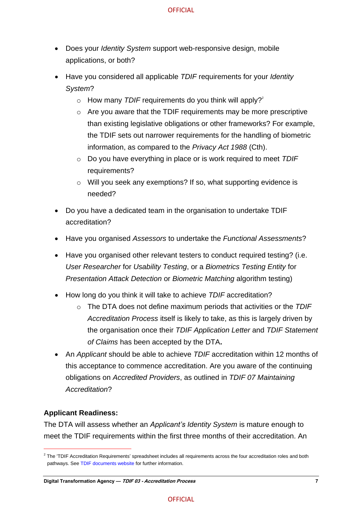- Does your *Identity System* support web-responsive design, mobile applications, or both?
- Have you considered all applicable *TDIF* requirements for your *Identity System*?
	- $\circ$  How many *TDIF* requirements do you think will apply?<sup>2</sup>
	- o Are you aware that the TDIF requirements may be more prescriptive than existing legislative obligations or other frameworks? For example, the TDIF sets out narrower requirements for the handling of biometric information, as compared to the *Privacy Act 1988* (Cth).
	- o Do you have everything in place or is work required to meet *TDIF* requirements?
	- o Will you seek any exemptions? If so, what supporting evidence is needed?
- Do you have a dedicated team in the organisation to undertake TDIF accreditation?
- Have you organised *Assessors* to undertake the *Functional Assessments*?
- Have you organised other relevant testers to conduct required testing? (i.e. *User Researcher* for *Usability Testing*, or a *Biometrics Testing Entity* for *Presentation Attack Detection* or *Biometric Matching* algorithm testing)
- How long do you think it will take to achieve *TDIF* accreditation?
	- o The DTA does not define maximum periods that activities or the *TDIF Accreditation Process* itself is likely to take, as this is largely driven by the organisation once their *TDIF Application Letter* and *TDIF Statement of Claims* has been accepted by the DTA**.**
- An *Applicant* should be able to achieve *TDIF* accreditation within 12 months of this acceptance to commence accreditation. Are you aware of the continuing obligations on *Accredited Providers*, as outlined in *TDIF 07 Maintaining Accreditation*?

#### **Applicant Readiness:**

The DTA will assess whether an *Applicant's Identity System* is mature enough to meet the TDIF requirements within the first three months of their accreditation. An

 $2$  The 'TDIF Accreditation Requirements' spreadsheet includes all requirements across the four accreditation roles and both pathways. Se[e TDIF documents website](https://www.digitalidentity.gov.au/privacy-and-security/trusted-digital-identity-framework) for further information.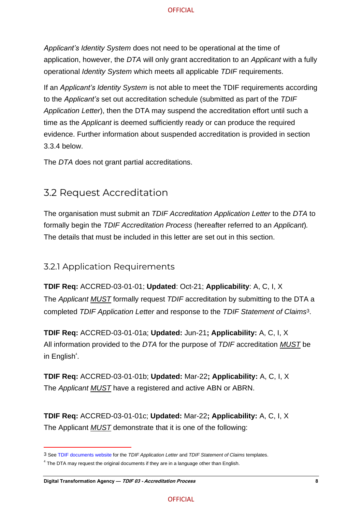*Applicant's Identity System* does not need to be operational at the time of application, however, the *DTA* will only grant accreditation to an *Applicant* with a fully operational *Identity System* which meets all applicable *TDIF* requirements.

If an *Applicant's Identity System* is not able to meet the TDIF requirements according to the *Applicant's* set out accreditation schedule (submitted as part of the *TDIF Application Letter*), then the DTA may suspend the accreditation effort until such a time as the *Applicant* is deemed sufficiently ready or can produce the required evidence. Further information about suspended accreditation is provided in section 3.3.4 below.

<span id="page-12-0"></span>The *DTA* does not grant partial accreditations.

# 3.2 Request Accreditation

The organisation must submit an *TDIF Accreditation Application Letter* to the *DTA* to formally begin the *TDIF Accreditation Process* (hereafter referred to an *Applicant*)*.* The details that must be included in this letter are set out in this section.

### <span id="page-12-1"></span>3.2.1 Application Requirements

**TDIF Req:** ACCRED-03-01-01; **Updated**: Oct-21; **Applicability**: A, C, I, X The *Applicant MUST* formally request *TDIF* accreditation by submitting to the DTA a completed *TDIF Application Letter* and response to the *TDIF Statement of Claims*3.

**TDIF Req:** ACCRED-03-01-01a; **Updated:** Jun-21**; Applicability:** A, C, I, X All information provided to the *DTA* for the purpose of *TDIF* accreditation *MUST* be in English<sup>4</sup>.

**TDIF Req:** ACCRED-03-01-01b; **Updated:** Mar-22**; Applicability:** A, C, I, X The *Applicant MUST* have a registered and active ABN or ABRN.

**TDIF Req:** ACCRED-03-01-01c; **Updated:** Mar-22**; Applicability:** A, C, I, X The Applicant *MUST* demonstrate that it is one of the following:

<sup>3</sup> Se[e TDIF documents website](https://www.digitalidentity.gov.au/privacy-and-security/trusted-digital-identity-framework.) for the *TDIF Application Letter* and *TDIF Statement of Claims* templates.

 $4$  The DTA may request the original documents if they are in a language other than English.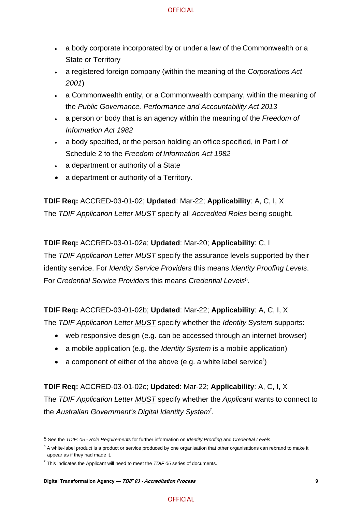- a body corporate incorporated by or under a law of the Commonwealth or a State or Territory
- a registered foreign company (within the meaning of the *Corporations Act 2001*)
- a Commonwealth entity, or a Commonwealth company, within the meaning of the *Public Governance, Performance and Accountability Act 2013*
- a person or body that is an agency within the meaning of the *Freedom of Information Act 1982*
- a body specified, or the person holding an office specified, in Part I of Schedule 2 to the *Freedom of Information Act 1982*
- a department or authority of a State
- a department or authority of a Territory.

**TDIF Req:** ACCRED-03-01-02; **Updated**: Mar-22; **Applicability**: A, C, I, X The *TDIF Application Letter MUST* specify all *Accredited Roles* being sought.

**TDIF Req:** ACCRED-03-01-02a; **Updated**: Mar-20; **Applicability**: C, I The *TDIF Application Letter MUST* specify the assurance levels supported by their identity service. For *Identity Service Providers* this means *Identity Proofing Levels*. For *Credential Service Providers* this means *Credential Levels*5.

**TDIF Req:** ACCRED-03-01-02b; **Updated**: Mar-22; **Applicability**: A, C, I, X

The *TDIF Application Letter MUST* specify whether the *Identity System* supports:

- web responsive design (e.g. can be accessed through an internet browser)
- a mobile application (e.g. the *Identity System* is a mobile application)
- a component of either of the above (e.g. a white label service $^{\circ}$ )

**TDIF Req:** ACCRED-03-01-02c; **Updated**: Mar-22; **Applicability**: A, C, I, X The *TDIF Application Letter MUST* specify whether the *Applicant* wants to connect to the *Australian Government's Digital Identity System<sup>7</sup>* .

<sup>5</sup> See the *TDIF: 05 - Role Requirements* for further information on *Identity Proofing* and *Credential Levels*.

 $6$  A white-label product is a product or service produced by one organisation that other organisations can rebrand to make it appear as if they had made it.

<sup>7</sup> This indicates the Applicant will need to meet the *TDIF 06* series of documents.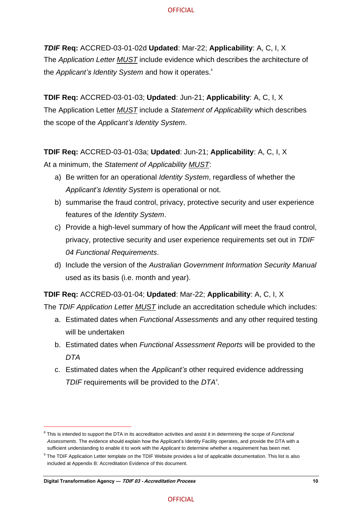*TDIF* **Req:** ACCRED-03-01-02d **Updated**: Mar-22; **Applicability**: A, C, I, X The *Application Letter MUST* include evidence which describes the architecture of the *Applicant's Identity System* and how it operates. 8

**TDIF Req:** ACCRED-03-01-03; **Updated**: Jun-21; **Applicability**: A, C, I, X The Application Letter *MUST* include a *Statement of Applicability* which describes the scope of the *Applicant's Identity System*.

**TDIF Req:** ACCRED-03-01-03a; **Updated**: Jun-21; **Applicability**: A, C, I, X At a minimum, the *Statement of Applicability MUST*:

- a) Be written for an operational *Identity System*, regardless of whether the *Applicant's Identity System* is operational or not.
- b) summarise the fraud control, privacy, protective security and user experience features of the *Identity System*.
- c) Provide a high-level summary of how the *Applicant* will meet the fraud control, privacy, protective security and user experience requirements set out in *TDIF 04 Functional Requirements*.
- d) Include the version of the *Australian Government Information Security Manual* used as its basis (i.e. month and year).

**TDIF Req:** ACCRED-03-01-04; **Updated**: Mar-22; **Applicability**: A, C, I, X

The *TDIF Application Letter MUST* include an accreditation schedule which includes:

- a. Estimated dates when *Functional Assessments* and any other required testing will be undertaken
- b. Estimated dates when *Functional Assessment Reports* will be provided to the *DTA*
- c. Estimated dates when the *Applicant's* other required evidence addressing *TDIF* requirements will be provided to the *DTA<sup>9</sup>* .

<sup>&</sup>lt;sup>8</sup> This is intended to support the DTA in its accreditation activities and assist it in determining the scope of *Functional Assessments*. The evidence should explain how the Applicant's Identity Facility operates, and provide the DTA with a sufficient understanding to enable it to work with the *Applicant* to determine whether a requirement has been met.

<sup>&</sup>lt;sup>9</sup> The TDIF Application Letter template on the TDIF Website provides a list of applicable documentation. This list is also included at Appendix B: Accreditation Evidence of this document.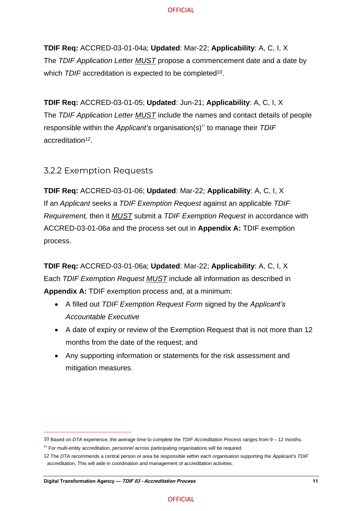**TDIF Req:** ACCRED-03-01-04a; **Updated**: Mar-22; **Applicability**: A, C, I, X The *TDIF Application Letter MUST* propose a commencement date and a date by which *TDIF* accreditation is expected to be completed<sup>10</sup>.

**TDIF Req:** ACCRED-03-01-05; **Updated**: Jun-21; **Applicability**: A, C, I, X The *TDIF Application Letter MUST* include the names and contact details of people responsible within the *Applicant's* organisation(s)<sup>11</sup> to manage their *TDIF* accreditation<sup>12</sup>.

#### <span id="page-15-0"></span>3.2.2 Exemption Requests

**TDIF Req:** ACCRED-03-01-06; **Updated**: Mar-22; **Applicability**: A, C, I, X If an *Applicant* seeks a *TDIF Exemption Request* against an applicable *TDIF Requirement,* then it *MUST* submit a *TDIF Exemption Request* in accordance with ACCRED-03-01-06a and the process set out in **Appendix A:** TDIF exemption process.

**TDIF Req:** ACCRED-03-01-06a; **Updated**: Mar-22; **Applicability**: A, C, I, X Each *TDIF Exemption Request MUST* include all information as described in **Appendix A:** TDIF exemption process and, at a minimum:

- A filled out *TDIF Exemption Request Form* signed by the *Applicant's Accountable Executive*
- A date of expiry or review of the Exemption Request that is not more than 12 months from the date of the request; and
- Any supporting information or statements for the risk assessment and mitigation measures.

<sup>10</sup> Based on *DTA* experience, the average time to complete the *TDIF Accreditation Process* ranges from 9 – 12 months.

<sup>11</sup> For multi-entity accreditation, *personnel* across participating organisations will be required.

<sup>12</sup> The *DTA* recommends a central person or area be responsible within each organisation supporting the *Applicant's TDIF* accreditation. This will aide in coordination and management of accreditation activities.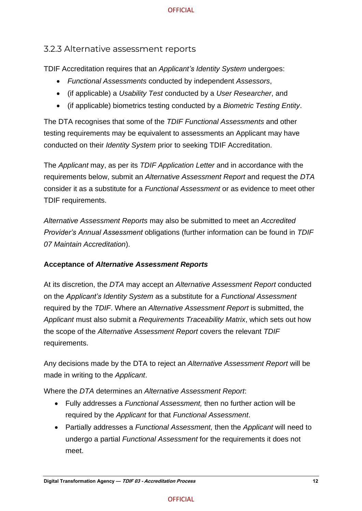### <span id="page-16-0"></span>3.2.3 Alternative assessment reports

TDIF Accreditation requires that an *Applicant's Identity System* undergoes:

- *Functional Assessments* conducted by independent *Assessors*,
- (if applicable) a *Usability Test* conducted by a *User Researcher*, and
- (if applicable) biometrics testing conducted by a *Biometric Testing Entity*.

The DTA recognises that some of the *TDIF Functional Assessments* and other testing requirements may be equivalent to assessments an Applicant may have conducted on their *Identity System* prior to seeking TDIF Accreditation.

The *Applicant* may, as per its *TDIF Application Letter* and in accordance with the requirements below, submit an *Alternative Assessment Report* and request the *DTA* consider it as a substitute for a *Functional Assessment* or as evidence to meet other TDIF requirements.

*Alternative Assessment Reports* may also be submitted to meet an *Accredited Provider's Annual Assessment* obligations (further information can be found in *TDIF 07 Maintain Accreditation*).

#### **Acceptance of** *Alternative Assessment Reports*

At its discretion, the *DTA* may accept an *Alternative Assessment Report* conducted on the *Applicant's Identity System* as a substitute for a *Functional Assessment* required by the *TDIF*. Where an *Alternative Assessment Report* is submitted, the *Applicant* must also submit a *Requirements Traceability Matrix*, which sets out how the scope of the *Alternative Assessment Report* covers the relevant *TDIF* requirements.

Any decisions made by the DTA to reject an *Alternative Assessment Report* will be made in writing to the *Applicant*.

Where the *DTA* determines an *Alternative Assessment Report*:

- Fully addresses a *Functional Assessment,* then no further action will be required by the *Applicant* for that *Functional Assessment*.
- Partially addresses a *Functional Assessment,* then the *Applicant* will need to undergo a partial *Functional Assessment* for the requirements it does not meet.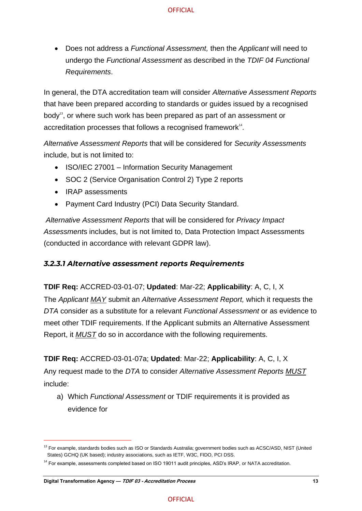• Does not address a *Functional Assessment,* then the *Applicant* will need to undergo the *Functional Assessment* as described in the *TDIF 04 Functional Requirements*.

In general, the DTA accreditation team will consider *Alternative Assessment Reports* that have been prepared according to standards or guides issued by a recognised body<sup>13</sup>, or where such work has been prepared as part of an assessment or accreditation processes that follows a recognised framework<sup>14</sup>.

*Alternative Assessment Reports* that will be considered for *Security Assessments* include, but is not limited to:

- ISO/IEC 27001 Information Security Management
- SOC 2 (Service Organisation Control 2) Type 2 reports
- IRAP assessments
- Payment Card Industry (PCI) Data Security Standard.

*Alternative Assessment Reports* that will be considered for *Privacy Impact Assessment*s includes, but is not limited to, Data Protection Impact Assessments (conducted in accordance with relevant GDPR law).

#### *3.2.3.1 Alternative assessment reports Requirements*

#### **TDIF Req:** ACCRED-03-01-07; **Updated**: Mar-22; **Applicability**: A, C, I, X

The *Applicant MAY* submit an *Alternative Assessment Report,* which it requests the *DTA* consider as a substitute for a relevant *Functional Assessment* or as evidence to meet other TDIF requirements. If the Applicant submits an Alternative Assessment Report, it *MUST* do so in accordance with the following requirements.

#### **TDIF Req:** ACCRED-03-01-07a; **Updated**: Mar-22; **Applicability**: A, C, I, X

Any request made to the *DTA* to consider *Alternative Assessment Reports MUST* include:

a) Which *Functional Assessment* or TDIF requirements it is provided as evidence for

<sup>&</sup>lt;sup>13</sup> For example, standards bodies such as ISO or Standards Australia; government bodies such as ACSC/ASD, NIST (United States) GCHQ (UK based); industry associations, such as IETF, W3C, FIDO, PCI DSS.

<sup>&</sup>lt;sup>14</sup> For example, assessments completed based on ISO 19011 audit principles, ASD's IRAP, or NATA accreditation.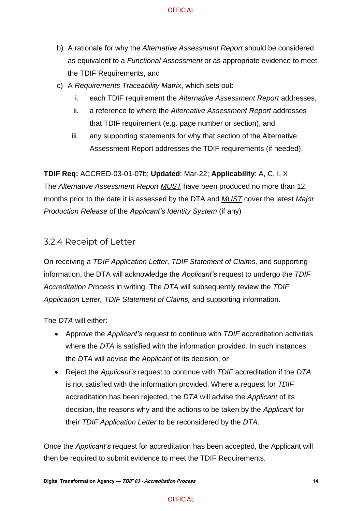- b) A rationale for why the *Alternative Assessment Report* should be considered as equivalent to a *Functional Assessment* or as appropriate evidence to meet the TDIF Requirements, and
- c) A *Requirements Traceability Matrix*, which sets out:
	- i. each TDIF requirement the *Alternative Assessment Report* addresses,
	- ii. a reference to where the *Alternative Assessment Report* addresses that TDIF requirement (e.g. page number or section), and
	- iii. any supporting statements for why that section of the Alternative Assessment Report addresses the TDIF requirements (if needed).

**TDIF Req:** ACCRED-03-01-07b; **Updated**: Mar-22; **Applicability**: A, C, I, X The *Alternative Assessment Report MUST* have been produced no more than 12 months prior to the date it is assessed by the DTA and *MUST* cover the latest *Major Production Release* of the *Applicant's Identity System* (if any)

### <span id="page-18-0"></span>3.2.4 Receipt of Letter

On receiving a *TDIF Application Letter, TDIF Statement of Claims,* and supporting information, the DTA will acknowledge the *Applicant's* request to undergo the *TDIF Accreditation Process* in writing. The *DTA* will subsequently review the *TDIF Application Letter, TDIF Statement of Claims,* and supporting information.

The *DTA* will either:

- Approve the *Applicant's* request to continue with *TDIF* accreditation activities where the *DTA* is satisfied with the information provided. In such instances the *DTA* will advise the *Applicant* of its decision; or
- Reject the *Applicant's* request to continue with *TDIF* accreditation if the *DTA* is not satisfied with the information provided. Where a request for *TDIF* accreditation has been rejected, the *DTA* will advise the *Applicant* of its decision, the reasons why and the actions to be taken by the *Applicant* for their *TDIF Application Letter* to be reconsidered by the *DTA*.

Once the *Applicant's* request for accreditation has been accepted, the Applicant will then be required to submit evidence to meet the TDIF Requirements.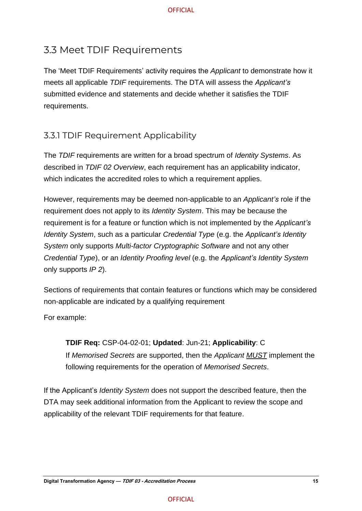# <span id="page-19-0"></span>3.3 Meet TDIF Requirements

The 'Meet TDIF Requirements' activity requires the *Applicant* to demonstrate how it meets all applicable *TDIF* requirements. The DTA will assess the *Applicant's* submitted evidence and statements and decide whether it satisfies the TDIF requirements.

# <span id="page-19-1"></span>3.3.1 TDIF Requirement Applicability

The *TDIF* requirements are written for a broad spectrum of *Identity Systems*. As described in *TDIF 02 Overview*, each requirement has an applicability indicator, which indicates the accredited roles to which a requirement applies.

However, requirements may be deemed non-applicable to an *Applicant's* role if the requirement does not apply to its *Identity System*. This may be because the requirement is for a feature or function which is not implemented by the *Applicant's Identity System*, such as a particular *Credential Type* (e.g. the *Applicant's Identity System* only supports *Multi-factor Cryptographic Software* and not any other *Credential Type*), or an *Identity Proofing level* (e.g. the *Applicant's Identity System* only supports *IP 2*).

Sections of requirements that contain features or functions which may be considered non-applicable are indicated by a qualifying requirement

For example:

**TDIF Req:** CSP-04-02-01; **Updated**: Jun-21; **Applicability**: C If *Memorised Secrets* are supported, then the *Applicant MUST* implement the following requirements for the operation of *Memorised Secrets*.

If the Applicant's *Identity System* does not support the described feature, then the DTA may seek additional information from the Applicant to review the scope and applicability of the relevant TDIF requirements for that feature.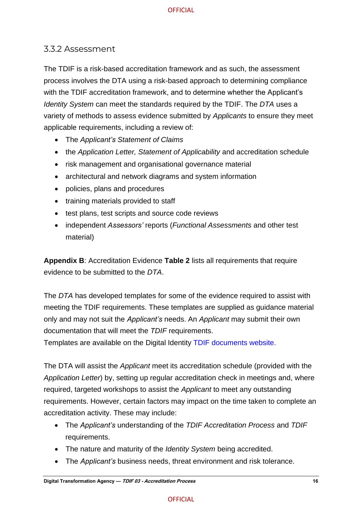### <span id="page-20-0"></span>3.3.2 Assessment

The TDIF is a risk-based accreditation framework and as such, the assessment process involves the DTA using a risk-based approach to determining compliance with the TDIF accreditation framework, and to determine whether the Applicant's *Identity System* can meet the standards required by the TDIF. The *DTA* uses a variety of methods to assess evidence submitted by *Applicants* to ensure they meet applicable requirements, including a review of:

- The *Applicant's Statement of Claims*
- the *Application Letter, Statement of Applicability* and accreditation schedule
- risk management and organisational governance material
- architectural and network diagrams and system information
- policies, plans and procedures
- training materials provided to staff
- test plans, test scripts and source code reviews
- independent *Assessors'* reports (*Functional Assessments* and other test material)

**Appendix B**: Accreditation Evidence **Table 2** lists all requirements that require evidence to be submitted to the *DTA*.

The *DTA* has developed templates for some of the evidence required to assist with meeting the TDIF requirements. These templates are supplied as guidance material only and may not suit the *Applicant's* needs. An *Applicant* may submit their own documentation that will meet the *TDIF* requirements.

Templates are available on the Digital Identity [TDIF documents website.](https://www.digitalidentity.gov.au/privacy-and-security/trusted-digital-identity-framework)

The DTA will assist the *Applicant* meet its accreditation schedule (provided with the *Application Letter*) by, setting up regular accreditation check in meetings and, where required, targeted workshops to assist the *Applicant* to meet any outstanding requirements. However, certain factors may impact on the time taken to complete an accreditation activity. These may include:

- The *Applicant's* understanding of the *TDIF Accreditation Process* and *TDIF* requirements.
- The nature and maturity of the *Identity System* being accredited.
- The *Applicant's* business needs, threat environment and risk tolerance.

#### **OFFICIAL**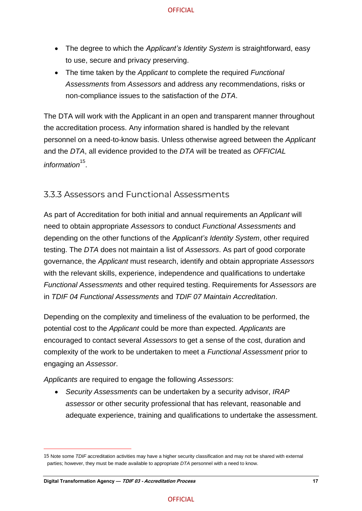- The degree to which the *Applicant's Identity System* is straightforward, easy to use, secure and privacy preserving.
- The time taken by the *Applicant* to complete the required *Functional Assessments* from *Assessors* and address any recommendations, risks or non-compliance issues to the satisfaction of the *DTA*.

The DTA will work with the Applicant in an open and transparent manner throughout the accreditation process. Any information shared is handled by the relevant personnel on a need-to-know basis. Unless otherwise agreed between the *Applicant* and the *DTA*, all evidence provided to the *DTA* will be treated as *OFFICIAL* information<sup>15</sup>.

### <span id="page-21-0"></span>3.3.3 Assessors and Functional Assessments

As part of Accreditation for both initial and annual requirements an *Applicant* will need to obtain appropriate *Assessors* to conduct *Functional Assessments* and depending on the other functions of the *Applicant's Identity System*, other required testing. The *DTA* does not maintain a list of *Assessors*. As part of good corporate governance, the *Applicant* must research, identify and obtain appropriate *Assessors* with the relevant skills, experience, independence and qualifications to undertake *Functional Assessments* and other required testing. Requirements for *Assessors* are in *TDIF 04 Functional Assessments* and *TDIF 07 Maintain Accreditation*.

Depending on the complexity and timeliness of the evaluation to be performed, the potential cost to the *Applicant* could be more than expected. *Applicants* are encouraged to contact several *Assessors* to get a sense of the cost, duration and complexity of the work to be undertaken to meet a *Functional Assessment* prior to engaging an *Assessor*.

*Applicants* are required to engage the following *Assessors*:

• *Security Assessments* can be undertaken by a security advisor, *IRAP assessor* or other security professional that has relevant, reasonable and adequate experience, training and qualifications to undertake the assessment.

<sup>15</sup> Note some *TDIF* accreditation activities may have a higher security classification and may not be shared with external parties; however, they must be made available to appropriate *DTA* personnel with a need to know.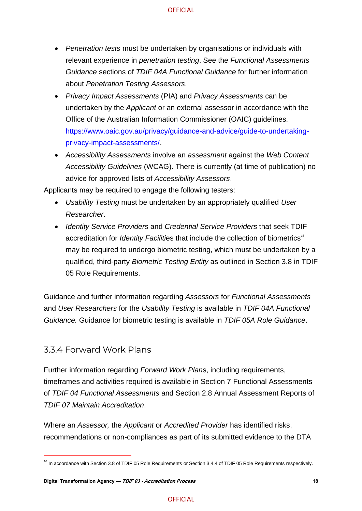- *Penetration tests* must be undertaken by organisations or individuals with relevant experience in *penetration testing*. See the *Functional Assessments Guidance* sections of *TDIF 04A Functional Guidance* for further information about *Penetration Testing Assessors*.
- *Privacy Impact Assessments* (PIA) and *Privacy Assessments* can be undertaken by the *Applicant* or an external assessor in accordance with the Office of the Australian Information Commissioner (OAIC) guidelines. [https://www.oaic.gov.au/privacy/guidance-and-advice/guide-to-undertaking](https://www.oaic.gov.au/privacy/guidance-and-advice/guide-to-undertaking-privacy-impact-assessments/)[privacy-impact-assessments/.](https://www.oaic.gov.au/privacy/guidance-and-advice/guide-to-undertaking-privacy-impact-assessments/)
- *Accessibility Assessments* involve an *assessment* against the *Web Content Accessibility Guidelines* (WCAG). There is currently (at time of publication) no advice for approved lists of *Accessibility Assessors*.

Applicants may be required to engage the following testers:

- *Usability Testing* must be undertaken by an appropriately qualified *User Researcher*.
- *Identity Service Providers* and *Credential Service Providers* that seek TDIF accreditation for *Identity Facilities* that include the collection of biometrics<sup>16</sup> may be required to undergo biometric testing, which must be undertaken by a qualified, third-party *Biometric Testing Entity* as outlined in Section 3.8 in TDIF 05 Role Requirements.

Guidance and further information regarding *Assessors* for *Functional Assessments* and *User Researchers* for the *Usability Testing* is available in *TDIF 04A Functional Guidance.* Guidance for biometric testing is available in *TDIF 05A Role Guidance*.

### <span id="page-22-0"></span>3.3.4 Forward Work Plans

Further information regarding *Forward Work Plan*s, including requirements, timeframes and activities required is available in Section 7 Functional Assessments of *TDIF 04 Functional Assessments* and Section 2.8 Annual Assessment Reports of *TDIF 07 Maintain Accreditation*.

Where an *Assessor,* the *Applicant* or *Accredited Provider* has identified risks, recommendations or non-compliances as part of its submitted evidence to the DTA

<sup>&</sup>lt;sup>16</sup> In accordance with Section 3.8 of TDIF 05 Role Requirements or Section 3.4.4 of TDIF 05 Role Requirements respectively.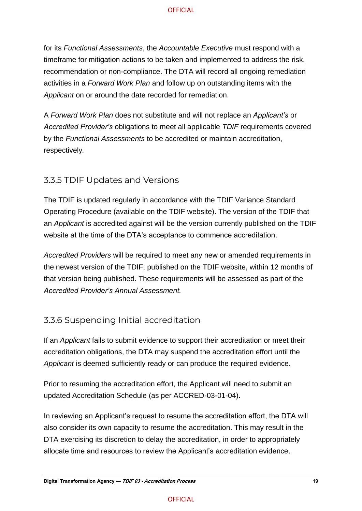for its *Functional Assessments*, the *Accountable Executive* must respond with a timeframe for mitigation actions to be taken and implemented to address the risk, recommendation or non-compliance. The DTA will record all ongoing remediation activities in a *Forward Work Plan* and follow up on outstanding items with the *Applicant* on or around the date recorded for remediation.

A *Forward Work Plan* does not substitute and will not replace an *Applicant's* or *Accredited Provider's* obligations to meet all applicable *TDIF* requirements covered by the *Functional Assessments* to be accredited or maintain accreditation, respectively*.*

### <span id="page-23-0"></span>3.3.5 TDIF Updates and Versions

The TDIF is updated regularly in accordance with the TDIF Variance Standard Operating Procedure (available on the TDIF website). The version of the TDIF that an *Applicant* is accredited against will be the version currently published on the TDIF website at the time of the DTA's acceptance to commence accreditation.

*Accredited Providers* will be required to meet any new or amended requirements in the newest version of the TDIF, published on the TDIF website, within 12 months of that version being published. These requirements will be assessed as part of the *Accredited Provider's Annual Assessment.* 

### <span id="page-23-1"></span>3.3.6 Suspending Initial accreditation

If an *Applicant* fails to submit evidence to support their accreditation or meet their accreditation obligations, the DTA may suspend the accreditation effort until the *Applicant* is deemed sufficiently ready or can produce the required evidence.

Prior to resuming the accreditation effort, the Applicant will need to submit an updated Accreditation Schedule (as per ACCRED-03-01-04).

In reviewing an Applicant's request to resume the accreditation effort, the DTA will also consider its own capacity to resume the accreditation. This may result in the DTA exercising its discretion to delay the accreditation, in order to appropriately allocate time and resources to review the Applicant's accreditation evidence.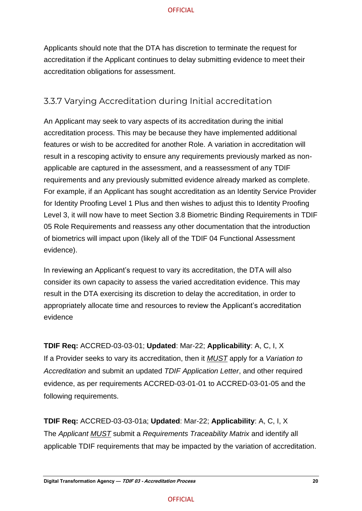Applicants should note that the DTA has discretion to terminate the request for accreditation if the Applicant continues to delay submitting evidence to meet their accreditation obligations for assessment.

### <span id="page-24-0"></span>3.3.7 Varying Accreditation during Initial accreditation

An Applicant may seek to vary aspects of its accreditation during the initial accreditation process. This may be because they have implemented additional features or wish to be accredited for another Role. A variation in accreditation will result in a rescoping activity to ensure any requirements previously marked as nonapplicable are captured in the assessment, and a reassessment of any TDIF requirements and any previously submitted evidence already marked as complete. For example, if an Applicant has sought accreditation as an Identity Service Provider for Identity Proofing Level 1 Plus and then wishes to adjust this to Identity Proofing Level 3, it will now have to meet Section 3.8 Biometric Binding Requirements in TDIF 05 Role Requirements and reassess any other documentation that the introduction of biometrics will impact upon (likely all of the TDIF 04 Functional Assessment evidence).

In reviewing an Applicant's request to vary its accreditation, the DTA will also consider its own capacity to assess the varied accreditation evidence. This may result in the DTA exercising its discretion to delay the accreditation, in order to appropriately allocate time and resources to review the Applicant's accreditation evidence

**TDIF Req:** ACCRED-03-03-01; **Updated**: Mar-22; **Applicability**: A, C, I, X If a Provider seeks to vary its accreditation, then it *MUST* apply for a *Variation to Accreditation* and submit an updated *TDIF Application Letter*, and other required evidence, as per requirements ACCRED-03-01-01 to ACCRED-03-01-05 and the following requirements.

**TDIF Req:** ACCRED-03-03-01a; **Updated**: Mar-22; **Applicability**: A, C, I, X The *Applicant MUST* submit a *Requirements Traceability Matrix* and identify all applicable TDIF requirements that may be impacted by the variation of accreditation.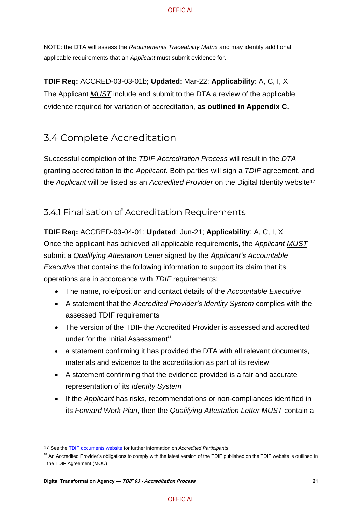NOTE: the DTA will assess the *Requirements Traceability Matrix* and may identify additional applicable requirements that an *Applicant* must submit evidence for.

**TDIF Req:** ACCRED-03-03-01b; **Updated**: Mar-22; **Applicability**: A, C, I, X The Applicant *MUST* include and submit to the DTA a review of the applicable evidence required for variation of accreditation, **as outlined in Appendix C.** 

# <span id="page-25-0"></span>3.4 Complete Accreditation

Successful completion of the *TDIF Accreditation Process* will result in the *DTA* granting accreditation to the *Applicant.* Both parties will sign a *TDIF* agreement, and the *Applicant* will be listed as an *Accredited Provider* on the Digital Identity website<sup>17</sup>

### <span id="page-25-1"></span>3.4.1 Finalisation of Accreditation Requirements

**TDIF Req:** ACCRED-03-04-01; **Updated**: Jun-21; **Applicability**: A, C, I, X Once the applicant has achieved all applicable requirements, the *Applicant MUST* submit a *Qualifying Attestation Letter* signed by the *Applicant's Accountable Executive* that contains the following information to support its claim that its operations are in accordance with *TDIF* requirements:

- The name, role/position and contact details of the *Accountable Executive*
- A statement that the *Accredited Provider's Identity System* complies with the assessed TDIF requirements
- The version of the TDIF the Accredited Provider is assessed and accredited under for the Initial Assessment<sup>18</sup>.
- a statement confirming it has provided the DTA with all relevant documents, materials and evidence to the accreditation as part of its review
- A statement confirming that the evidence provided is a fair and accurate representation of its *Identity System*
- If the *Applicant* has risks, recommendations or non-compliances identified in its *Forward Work Plan*, then the *Qualifying Attestation Letter MUST* contain a

<sup>17</sup> See the [TDIF documents website](https://www.digitalidentity.gov.au/privacy-and-security/trusted-digital-identity-framework) for further information on *Accredited Participants*.

<sup>&</sup>lt;sup>18</sup> An Accredited Provider's obligations to comply with the latest version of the TDIF published on the TDIF website is outlined in the TDIF Agreement (MOU)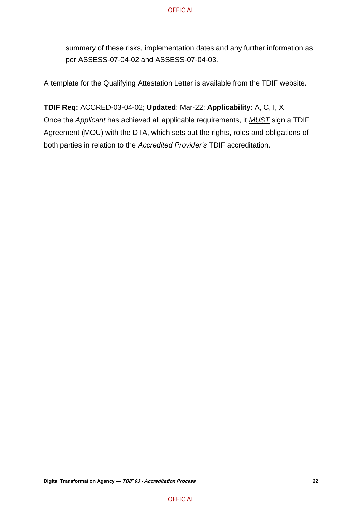summary of these risks, implementation dates and any further information as per ASSESS-07-04-02 and ASSESS-07-04-03.

A template for the Qualifying Attestation Letter is available from the TDIF website.

**TDIF Req:** ACCRED-03-04-02; **Updated**: Mar-22; **Applicability**: A, C, I, X Once the *Applicant* has achieved all applicable requirements, it *MUST* sign a TDIF Agreement (MOU) with the DTA, which sets out the rights, roles and obligations of both parties in relation to the *Accredited Provider's* TDIF accreditation.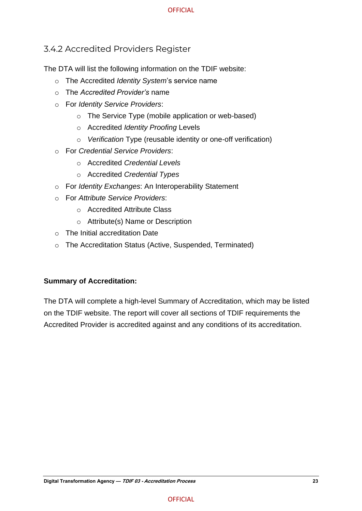### <span id="page-27-0"></span>3.4.2 Accredited Providers Register

The DTA will list the following information on the TDIF website:

- o The Accredited *Identity System*'s service name
- o The *Accredited Provider's* name
- o For *Identity Service Providers*:
	- o The Service Type (mobile application or web-based)
	- o Accredited *Identity Proofing* Levels
	- o *Verification* Type (reusable identity or one-off verification)
- o For *Credential Service Providers*:
	- o Accredited *Credential Levels*
	- o Accredited *Credential Types*
- o For *Identity Exchanges*: An Interoperability Statement
- o For *Attribute Service Providers*:
	- o Accredited Attribute Class
	- o Attribute(s) Name or Description
- o The Initial accreditation Date
- o The Accreditation Status (Active, Suspended, Terminated)

#### **Summary of Accreditation:**

The DTA will complete a high-level Summary of Accreditation, which may be listed on the TDIF website. The report will cover all sections of TDIF requirements the Accredited Provider is accredited against and any conditions of its accreditation.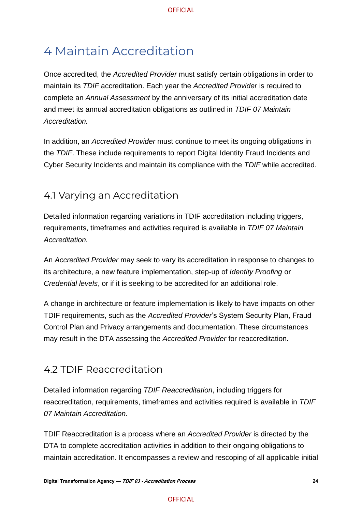# <span id="page-28-0"></span>4 Maintain Accreditation

Once accredited, the *Accredited Provider* must satisfy certain obligations in order to maintain its *TDIF* accreditation. Each year the *Accredited Provider* is required to complete an *Annual Assessment* by the anniversary of its initial accreditation date and meet its annual accreditation obligations as outlined in *TDIF 07 Maintain Accreditation.*

In addition, an *Accredited Provider* must continue to meet its ongoing obligations in the *TDIF*. These include requirements to report Digital Identity Fraud Incidents and Cyber Security Incidents and maintain its compliance with the *TDIF* while accredited.

# <span id="page-28-1"></span>4.1 Varying an Accreditation

Detailed information regarding variations in TDIF accreditation including triggers, requirements, timeframes and activities required is available in *TDIF 07 Maintain Accreditation.* 

An *Accredited Provider* may seek to vary its accreditation in response to changes to its architecture, a new feature implementation, step-up of *Identity Proofing* or *Credential levels*, or if it is seeking to be accredited for an additional role.

A change in architecture or feature implementation is likely to have impacts on other TDIF requirements, such as the *Accredited Provider*'s System Security Plan, Fraud Control Plan and Privacy arrangements and documentation. These circumstances may result in the DTA assessing the *Accredited Provider* for reaccreditation.

# <span id="page-28-2"></span>4.2 TDIF Reaccreditation

Detailed information regarding *TDIF Reaccreditation*, including triggers for reaccreditation, requirements, timeframes and activities required is available in *TDIF 07 Maintain Accreditation.* 

TDIF Reaccreditation is a process where an *Accredited Provider* is directed by the DTA to complete accreditation activities in addition to their ongoing obligations to maintain accreditation. It encompasses a review and rescoping of all applicable initial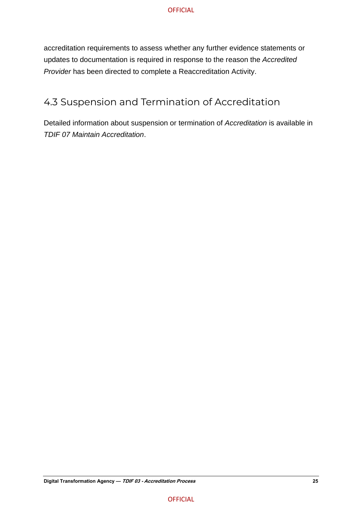accreditation requirements to assess whether any further evidence statements or updates to documentation is required in response to the reason the *Accredited Provider* has been directed to complete a Reaccreditation Activity.

# <span id="page-29-0"></span>4.3 Suspension and Termination of Accreditation

Detailed information about suspension or termination of *Accreditation* is available in *TDIF 07 Maintain Accreditation*.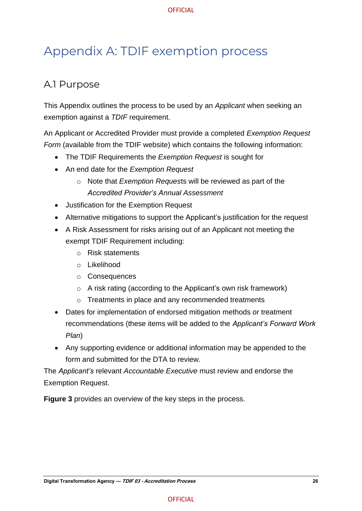# <span id="page-30-0"></span>Appendix A: TDIF exemption process

# <span id="page-30-1"></span>A.1 Purpose

This Appendix outlines the process to be used by an *Applicant* when seeking an exemption against a *TDIF* requirement.

An Applicant or Accredited Provider must provide a completed *Exemption Request Form* (available from the TDIF website) which contains the following information:

- The TDIF Requirements the *Exemption Request* is sought for
- An end date for the *Exemption Request*
	- o Note that *Exemption Reques*ts will be reviewed as part of the *Accredited Provider's Annual Assessment*
- Justification for the Exemption Request
- Alternative mitigations to support the Applicant's justification for the request
- A Risk Assessment for risks arising out of an Applicant not meeting the exempt TDIF Requirement including:
	- o Risk statements
	- o Likelihood
	- o Consequences
	- o A risk rating (according to the Applicant's own risk framework)
	- o Treatments in place and any recommended treatments
- Dates for implementation of endorsed mitigation methods or treatment recommendations (these items will be added to the *Applicant's Forward Work Plan*)
- Any supporting evidence or additional information may be appended to the form and submitted for the DTA to review.

The *Applicant's* relevant *Accountable Executive* must review and endorse the Exemption Request.

**Figure 3** provides an overview of the key steps in the process.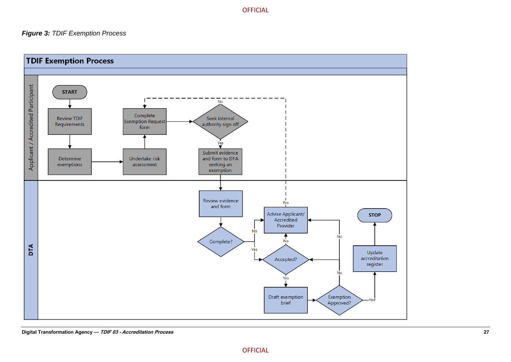#### *Figure 3: TDIF Exemption Process*

<span id="page-31-0"></span>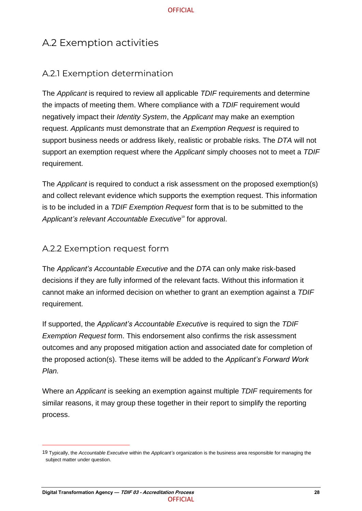# <span id="page-32-0"></span>A.2 Exemption activities

# <span id="page-32-1"></span>A.2.1 Exemption determination

The *Applicant* is required to review all applicable *TDIF* requirements and determine the impacts of meeting them. Where compliance with a *TDIF* requirement would negatively impact their *Identity System*, the *Applicant* may make an exemption request. *Applicants* must demonstrate that an *Exemption Request* is required to support business needs or address likely, realistic or probable risks. The *DTA* will not support an exemption request where the *Applicant* simply chooses not to meet a *TDIF* requirement.

The *Applicant* is required to conduct a risk assessment on the proposed exemption(s) and collect relevant evidence which supports the exemption request. This information is to be included in a *TDIF Exemption Request* form that is to be submitted to the Applicant's relevant Accountable Executive<sup>19</sup> for approval.

# <span id="page-32-2"></span>A.2.2 Exemption request form

The *Applicant's Accountable Executive* and the *DTA* can only make risk-based decisions if they are fully informed of the relevant facts. Without this information it cannot make an informed decision on whether to grant an exemption against a *TDIF* requirement.

If supported, the *Applicant's Accountable Executive* is required to sign the *TDIF Exemption Request* form. This endorsement also confirms the risk assessment outcomes and any proposed mitigation action and associated date for completion of the proposed action(s). These items will be added to the *Applicant's Forward Work Plan.*

Where an *Applicant* is seeking an exemption against multiple *TDIF* requirements for similar reasons, it may group these together in their report to simplify the reporting process.

<sup>19</sup> Typically, the *Accountable Executive* within the *Applicant's* organization is the business area responsible for managing the subject matter under question.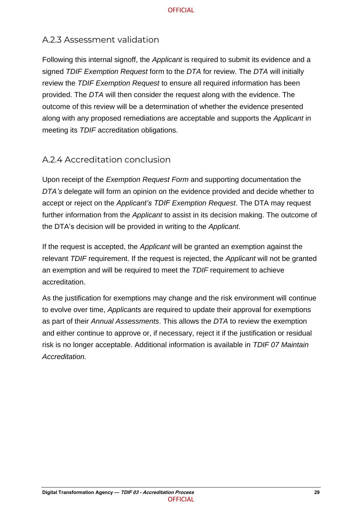### <span id="page-33-0"></span>A.2.3 Assessment validation

Following this internal signoff, the *Applicant* is required to submit its evidence and a signed *TDIF Exemption Request* form to the *DTA* for review. The *DTA* will initially review the *TDIF Exemption Request* to ensure all required information has been provided. The *DTA* will then consider the request along with the evidence. The outcome of this review will be a determination of whether the evidence presented along with any proposed remediations are acceptable and supports the *Applicant* in meeting its *TDIF* accreditation obligations.

### <span id="page-33-1"></span>A.2.4 Accreditation conclusion

Upon receipt of the *Exemption Request Form* and supporting documentation the *DTA's* delegate will form an opinion on the evidence provided and decide whether to accept or reject on the *Applicant's TDIF Exemption Request*. The DTA may request further information from the *Applicant* to assist in its decision making. The outcome of the DTA's decision will be provided in writing to the *Applicant*.

If the request is accepted, the *Applicant* will be granted an exemption against the relevant *TDIF* requirement. If the request is rejected, the *Applicant* will not be granted an exemption and will be required to meet the *TDIF* requirement to achieve accreditation.

As the justification for exemptions may change and the risk environment will continue to evolve over time, *Applicants* are required to update their approval for exemptions as part of their *Annual Assessments*. This allows the *DTA* to review the exemption and either continue to approve or, if necessary, reject it if the justification or residual risk is no longer acceptable. Additional information is available in *TDIF 07 Maintain Accreditation.*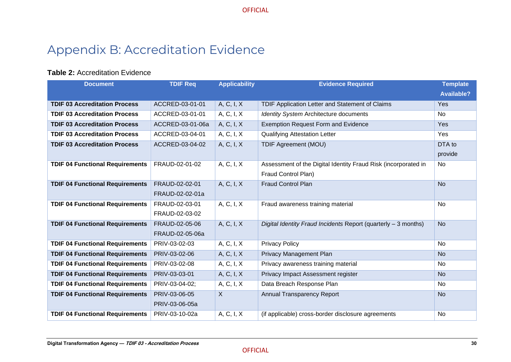# Appendix B: Accreditation Evidence

#### **Table 2:** Accreditation Evidence

<span id="page-34-0"></span>

| <b>Document</b>                        | <b>TDIF Req</b>  | <b>Applicability</b> | <b>Evidence Required</b>                                       | <b>Template</b>   |
|----------------------------------------|------------------|----------------------|----------------------------------------------------------------|-------------------|
|                                        |                  |                      |                                                                | <b>Available?</b> |
| <b>TDIF 03 Accreditation Process</b>   | ACCRED-03-01-01  | A, C, I, X           | TDIF Application Letter and Statement of Claims                | Yes               |
| <b>TDIF 03 Accreditation Process</b>   | ACCRED-03-01-01  | A, C, I, X           | <b>Identity System Architecture documents</b>                  | <b>No</b>         |
| <b>TDIF 03 Accreditation Process</b>   | ACCRED-03-01-06a | A, C, I, X           | <b>Exemption Request Form and Evidence</b>                     | Yes               |
| <b>TDIF 03 Accreditation Process</b>   | ACCRED-03-04-01  | A, C, I, X           | <b>Qualifying Attestation Letter</b>                           | Yes               |
| <b>TDIF 03 Accreditation Process</b>   | ACCRED-03-04-02  | A, C, I, X           | <b>TDIF Agreement (MOU)</b>                                    | DTA to            |
|                                        |                  |                      |                                                                | provide           |
| <b>TDIF 04 Functional Requirements</b> | FRAUD-02-01-02   | A, C, I, X           | Assessment of the Digital Identity Fraud Risk (incorporated in | No                |
|                                        |                  |                      | Fraud Control Plan)                                            |                   |
| <b>TDIF 04 Functional Requirements</b> | FRAUD-02-02-01   | A, C, I, X           | <b>Fraud Control Plan</b>                                      | <b>No</b>         |
|                                        | FRAUD-02-02-01a  |                      |                                                                |                   |
| <b>TDIF 04 Functional Requirements</b> | FRAUD-02-03-01   | A, C, I, X           | Fraud awareness training material                              | No                |
|                                        | FRAUD-02-03-02   |                      |                                                                |                   |
| <b>TDIF 04 Functional Requirements</b> | FRAUD-02-05-06   | A, C, I, X           | Digital Identity Fraud Incidents Report (quarterly - 3 months) | <b>No</b>         |
|                                        | FRAUD-02-05-06a  |                      |                                                                |                   |
| <b>TDIF 04 Functional Requirements</b> | PRIV-03-02-03    | A, C, I, X           | <b>Privacy Policy</b>                                          | <b>No</b>         |
| <b>TDIF 04 Functional Requirements</b> | PRIV-03-02-06    | A, C, I, X           | Privacy Management Plan                                        | <b>No</b>         |
| <b>TDIF 04 Functional Requirements</b> | PRIV-03-02-08    | A, C, I, X           | Privacy awareness training material                            | No                |
| <b>TDIF 04 Functional Requirements</b> | PRIV-03-03-01    | A, C, I, X           | Privacy Impact Assessment register                             | <b>No</b>         |
| <b>TDIF 04 Functional Requirements</b> | PRIV-03-04-02;   | A, C, I, X           | Data Breach Response Plan                                      | No.               |
| <b>TDIF 04 Functional Requirements</b> | PRIV-03-06-05    | $\sf X$              | Annual Transparency Report                                     | <b>No</b>         |
|                                        | PRIV-03-06-05a   |                      |                                                                |                   |
| <b>TDIF 04 Functional Requirements</b> | PRIV-03-10-02a   | A, C, I, X           | (if applicable) cross-border disclosure agreements             | No                |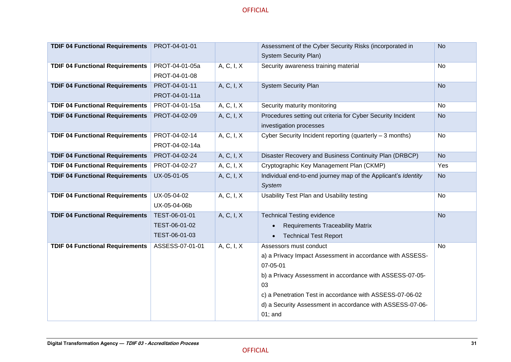| <b>TDIF 04 Functional Requirements</b> | PROT-04-01-01   |            | Assessment of the Cyber Security Risks (incorporated in       | <b>No</b> |
|----------------------------------------|-----------------|------------|---------------------------------------------------------------|-----------|
|                                        |                 |            | <b>System Security Plan)</b>                                  |           |
| <b>TDIF 04 Functional Requirements</b> | PROT-04-01-05a  | A, C, I, X | Security awareness training material                          | No        |
|                                        | PROT-04-01-08   |            |                                                               |           |
| <b>TDIF 04 Functional Requirements</b> | PROT-04-01-11   | A, C, I, X | <b>System Security Plan</b>                                   | <b>No</b> |
|                                        | PROT-04-01-11a  |            |                                                               |           |
| <b>TDIF 04 Functional Requirements</b> | PROT-04-01-15a  | A, C, I, X | Security maturity monitoring                                  | No        |
| <b>TDIF 04 Functional Requirements</b> | PROT-04-02-09   | A, C, I, X | Procedures setting out criteria for Cyber Security Incident   | <b>No</b> |
|                                        |                 |            | investigation processes                                       |           |
| <b>TDIF 04 Functional Requirements</b> | PROT-04-02-14   | A, C, I, X | Cyber Security Incident reporting (quarterly - 3 months)      | No        |
|                                        | PROT-04-02-14a  |            |                                                               |           |
| <b>TDIF 04 Functional Requirements</b> | PROT-04-02-24   | A, C, I, X | Disaster Recovery and Business Continuity Plan (DRBCP)        | <b>No</b> |
| <b>TDIF 04 Functional Requirements</b> | PROT-04-02-27   | A, C, I, X | Cryptographic Key Management Plan (CKMP)                      | Yes       |
| <b>TDIF 04 Functional Requirements</b> | UX-05-01-05     | A, C, I, X | Individual end-to-end journey map of the Applicant's Identity | <b>No</b> |
|                                        |                 |            | System                                                        |           |
| <b>TDIF 04 Functional Requirements</b> | UX-05-04-02     | A, C, I, X | Usability Test Plan and Usability testing                     | No        |
|                                        | UX-05-04-06b    |            |                                                               |           |
| <b>TDIF 04 Functional Requirements</b> | TEST-06-01-01   | A, C, I, X | <b>Technical Testing evidence</b>                             | <b>No</b> |
|                                        | TEST-06-01-02   |            | <b>Requirements Traceability Matrix</b>                       |           |
|                                        | TEST-06-01-03   |            | <b>Technical Test Report</b><br>$\bullet$                     |           |
| <b>TDIF 04 Functional Requirements</b> | ASSESS-07-01-01 | A, C, I, X | Assessors must conduct                                        | <b>No</b> |
|                                        |                 |            | a) a Privacy Impact Assessment in accordance with ASSESS-     |           |
|                                        |                 |            | 07-05-01                                                      |           |
|                                        |                 |            | b) a Privacy Assessment in accordance with ASSESS-07-05-      |           |
|                                        |                 |            | 03                                                            |           |
|                                        |                 |            | c) a Penetration Test in accordance with ASSESS-07-06-02      |           |
|                                        |                 |            | d) a Security Assessment in accordance with ASSESS-07-06-     |           |
|                                        |                 |            | $01$ ; and                                                    |           |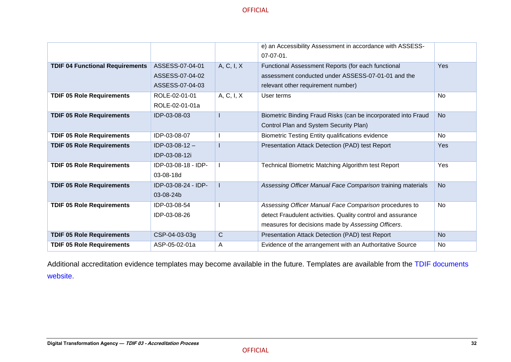|                                        |                     |              | e) an Accessibility Assessment in accordance with ASSESS-     |           |
|----------------------------------------|---------------------|--------------|---------------------------------------------------------------|-----------|
|                                        |                     |              | $07-07-01$ .                                                  |           |
| <b>TDIF 04 Functional Requirements</b> | ASSESS-07-04-01     | A, C, I, X   | Functional Assessment Reports (for each functional            | Yes       |
|                                        | ASSESS-07-04-02     |              | assessment conducted under ASSESS-07-01-01 and the            |           |
|                                        | ASSESS-07-04-03     |              | relevant other requirement number)                            |           |
| <b>TDIF 05 Role Requirements</b>       | ROLE-02-01-01       | A, C, I, X   | User terms                                                    | <b>No</b> |
|                                        | ROLE-02-01-01a      |              |                                                               |           |
| <b>TDIF 05 Role Requirements</b>       | IDP-03-08-03        |              | Biometric Binding Fraud Risks (can be incorporated into Fraud | <b>No</b> |
|                                        |                     |              | Control Plan and System Security Plan)                        |           |
| <b>TDIF 05 Role Requirements</b>       | IDP-03-08-07        |              | <b>Biometric Testing Entity qualifications evidence</b>       | <b>No</b> |
| <b>TDIF 05 Role Requirements</b>       | $IDP-03-08-12-$     |              | Presentation Attack Detection (PAD) test Report               | Yes       |
|                                        | IDP-03-08-12i       |              |                                                               |           |
| <b>TDIF 05 Role Requirements</b>       | IDP-03-08-18 - IDP- |              | Technical Biometric Matching Algorithm test Report            | Yes       |
|                                        | 03-08-18d           |              |                                                               |           |
| <b>TDIF 05 Role Requirements</b>       | IDP-03-08-24 - IDP- |              | Assessing Officer Manual Face Comparison training materials   | <b>No</b> |
|                                        | 03-08-24b           |              |                                                               |           |
| <b>TDIF 05 Role Requirements</b>       | IDP-03-08-54        |              | Assessing Officer Manual Face Comparison procedures to        | <b>No</b> |
|                                        | IDP-03-08-26        |              | detect Fraudulent activities. Quality control and assurance   |           |
|                                        |                     |              | measures for decisions made by Assessing Officers.            |           |
| <b>TDIF 05 Role Requirements</b>       | CSP-04-03-03g       | $\mathsf{C}$ | Presentation Attack Detection (PAD) test Report               | <b>No</b> |
| <b>TDIF 05 Role Requirements</b>       | ASP-05-02-01a       | Α            | Evidence of the arrangement with an Authoritative Source      | <b>No</b> |

Additional accreditation evidence templates may become available in the future. Templates are available from the [TDIF documents](https://www.digitalidentity.gov.au/privacy-and-security/trusted-digital-identity-framework)  [website.](https://www.digitalidentity.gov.au/privacy-and-security/trusted-digital-identity-framework)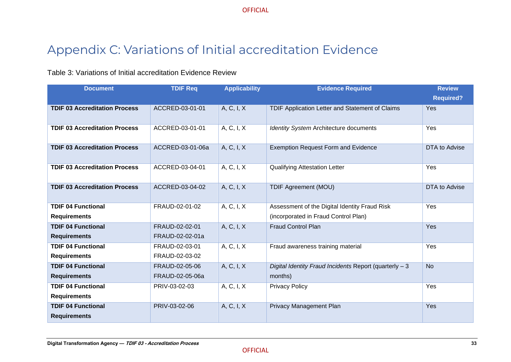# Appendix C: Variations of Initial accreditation Evidence

#### Table 3: Variations of Initial accreditation Evidence Review

<span id="page-37-0"></span>

| <b>Document</b>                      | <b>TDIF Req</b>  | <b>Applicability</b> | <b>Evidence Required</b>                               | <b>Review</b>    |
|--------------------------------------|------------------|----------------------|--------------------------------------------------------|------------------|
|                                      |                  |                      |                                                        | <b>Required?</b> |
| <b>TDIF 03 Accreditation Process</b> | ACCRED-03-01-01  | A, C, I, X           | TDIF Application Letter and Statement of Claims        | Yes              |
| <b>TDIF 03 Accreditation Process</b> | ACCRED-03-01-01  | A, C, I, X           | Identity System Architecture documents                 | Yes              |
| <b>TDIF 03 Accreditation Process</b> | ACCRED-03-01-06a | A, C, I, X           | <b>Exemption Request Form and Evidence</b>             | DTA to Advise    |
| <b>TDIF 03 Accreditation Process</b> | ACCRED-03-04-01  | A, C, I, X           | <b>Qualifying Attestation Letter</b>                   | Yes              |
| <b>TDIF 03 Accreditation Process</b> | ACCRED-03-04-02  | A, C, I, X           | <b>TDIF Agreement (MOU)</b>                            | DTA to Advise    |
| <b>TDIF 04 Functional</b>            | FRAUD-02-01-02   | A, C, I, X           | Assessment of the Digital Identity Fraud Risk          | Yes              |
| <b>Requirements</b>                  |                  |                      | (incorporated in Fraud Control Plan)                   |                  |
| <b>TDIF 04 Functional</b>            | FRAUD-02-02-01   | A, C, I, X           | <b>Fraud Control Plan</b>                              | Yes              |
| <b>Requirements</b>                  | FRAUD-02-02-01a  |                      |                                                        |                  |
| <b>TDIF 04 Functional</b>            | FRAUD-02-03-01   | A, C, I, X           | Fraud awareness training material                      | Yes              |
| <b>Requirements</b>                  | FRAUD-02-03-02   |                      |                                                        |                  |
| <b>TDIF 04 Functional</b>            | FRAUD-02-05-06   | A, C, I, X           | Digital Identity Fraud Incidents Report (quarterly - 3 | <b>No</b>        |
| <b>Requirements</b>                  | FRAUD-02-05-06a  |                      | months)                                                |                  |
| <b>TDIF 04 Functional</b>            | PRIV-03-02-03    | A, C, I, X           | <b>Privacy Policy</b>                                  | Yes              |
| <b>Requirements</b>                  |                  |                      |                                                        |                  |
| <b>TDIF 04 Functional</b>            | PRIV-03-02-06    | A, C, I, X           | Privacy Management Plan                                | Yes              |
| <b>Requirements</b>                  |                  |                      |                                                        |                  |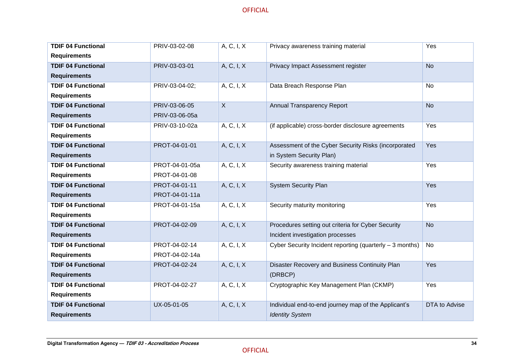| <b>TDIF 04 Functional</b> | PRIV-03-02-08  | A, C, I, X     | Privacy awareness training material                      | Yes           |
|---------------------------|----------------|----------------|----------------------------------------------------------|---------------|
| <b>Requirements</b>       |                |                |                                                          |               |
| <b>TDIF 04 Functional</b> | PRIV-03-03-01  | A, C, I, X     | Privacy Impact Assessment register                       | <b>No</b>     |
| <b>Requirements</b>       |                |                |                                                          |               |
| <b>TDIF 04 Functional</b> | PRIV-03-04-02; | A, C, I, X     | Data Breach Response Plan                                | <b>No</b>     |
| <b>Requirements</b>       |                |                |                                                          |               |
| <b>TDIF 04 Functional</b> | PRIV-03-06-05  | $\overline{X}$ | Annual Transparency Report                               | <b>No</b>     |
| <b>Requirements</b>       | PRIV-03-06-05a |                |                                                          |               |
| <b>TDIF 04 Functional</b> | PRIV-03-10-02a | A, C, I, X     | (if applicable) cross-border disclosure agreements       | Yes           |
| <b>Requirements</b>       |                |                |                                                          |               |
| <b>TDIF 04 Functional</b> | PROT-04-01-01  | A, C, I, X     | Assessment of the Cyber Security Risks (incorporated     | Yes           |
| <b>Requirements</b>       |                |                | in System Security Plan)                                 |               |
| <b>TDIF 04 Functional</b> | PROT-04-01-05a | A, C, I, X     | Security awareness training material                     | Yes           |
| <b>Requirements</b>       | PROT-04-01-08  |                |                                                          |               |
| <b>TDIF 04 Functional</b> | PROT-04-01-11  | A, C, I, X     | <b>System Security Plan</b>                              | Yes           |
| <b>Requirements</b>       | PROT-04-01-11a |                |                                                          |               |
| <b>TDIF 04 Functional</b> | PROT-04-01-15a | A, C, I, X     | Security maturity monitoring                             | Yes           |
| <b>Requirements</b>       |                |                |                                                          |               |
| <b>TDIF 04 Functional</b> | PROT-04-02-09  | A, C, I, X     | Procedures setting out criteria for Cyber Security       | <b>No</b>     |
| <b>Requirements</b>       |                |                | Incident investigation processes                         |               |
| <b>TDIF 04 Functional</b> | PROT-04-02-14  | A, C, I, X     | Cyber Security Incident reporting (quarterly - 3 months) | <b>No</b>     |
| <b>Requirements</b>       | PROT-04-02-14a |                |                                                          |               |
| <b>TDIF 04 Functional</b> | PROT-04-02-24  | A, C, I, X     | Disaster Recovery and Business Continuity Plan           | Yes           |
| <b>Requirements</b>       |                |                | (DRBCP)                                                  |               |
| <b>TDIF 04 Functional</b> | PROT-04-02-27  | A, C, I, X     | Cryptographic Key Management Plan (CKMP)                 | Yes           |
| <b>Requirements</b>       |                |                |                                                          |               |
| <b>TDIF 04 Functional</b> | UX-05-01-05    | A, C, I, X     | Individual end-to-end journey map of the Applicant's     | DTA to Advise |
| <b>Requirements</b>       |                |                | <b>Identity System</b>                                   |               |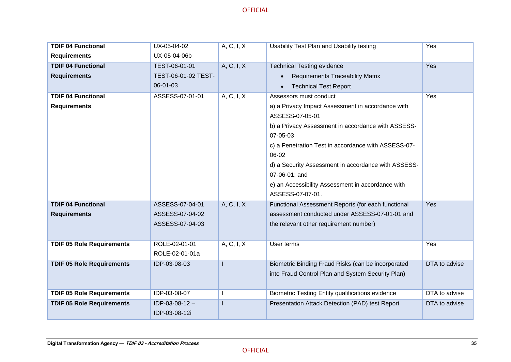| <b>TDIF 04 Functional</b>        | UX-05-04-02         | A, C, I, X   | Usability Test Plan and Usability testing           | Yes           |
|----------------------------------|---------------------|--------------|-----------------------------------------------------|---------------|
| <b>Requirements</b>              | UX-05-04-06b        |              |                                                     |               |
| <b>TDIF 04 Functional</b>        | TEST-06-01-01       | A, C, I, X   | <b>Technical Testing evidence</b>                   | Yes           |
| <b>Requirements</b>              | TEST-06-01-02 TEST- |              | <b>Requirements Traceability Matrix</b>             |               |
|                                  | 06-01-03            |              | <b>Technical Test Report</b>                        |               |
| <b>TDIF 04 Functional</b>        | ASSESS-07-01-01     | A, C, I, X   | Assessors must conduct                              | Yes           |
| <b>Requirements</b>              |                     |              | a) a Privacy Impact Assessment in accordance with   |               |
|                                  |                     |              | ASSESS-07-05-01                                     |               |
|                                  |                     |              | b) a Privacy Assessment in accordance with ASSESS-  |               |
|                                  |                     |              | 07-05-03                                            |               |
|                                  |                     |              | c) a Penetration Test in accordance with ASSESS-07- |               |
|                                  |                     |              | 06-02                                               |               |
|                                  |                     |              | d) a Security Assessment in accordance with ASSESS- |               |
|                                  |                     |              | 07-06-01; and                                       |               |
|                                  |                     |              | e) an Accessibility Assessment in accordance with   |               |
|                                  |                     |              | ASSESS-07-07-01.                                    |               |
| <b>TDIF 04 Functional</b>        | ASSESS-07-04-01     | A, C, I, X   | Functional Assessment Reports (for each functional  | Yes           |
| <b>Requirements</b>              | ASSESS-07-04-02     |              | assessment conducted under ASSESS-07-01-01 and      |               |
|                                  | ASSESS-07-04-03     |              | the relevant other requirement number)              |               |
|                                  |                     |              |                                                     |               |
| <b>TDIF 05 Role Requirements</b> | ROLE-02-01-01       | A, C, I, X   | User terms                                          | Yes           |
|                                  | ROLE-02-01-01a      |              |                                                     |               |
| <b>TDIF 05 Role Requirements</b> | IDP-03-08-03        |              | Biometric Binding Fraud Risks (can be incorporated  | DTA to advise |
|                                  |                     |              | into Fraud Control Plan and System Security Plan)   |               |
|                                  |                     |              |                                                     |               |
| <b>TDIF 05 Role Requirements</b> | IDP-03-08-07        | $\mathbf{I}$ | Biometric Testing Entity qualifications evidence    | DTA to advise |
| <b>TDIF 05 Role Requirements</b> | IDP-03-08-12-       |              | Presentation Attack Detection (PAD) test Report     | DTA to advise |
|                                  | IDP-03-08-12i       |              |                                                     |               |